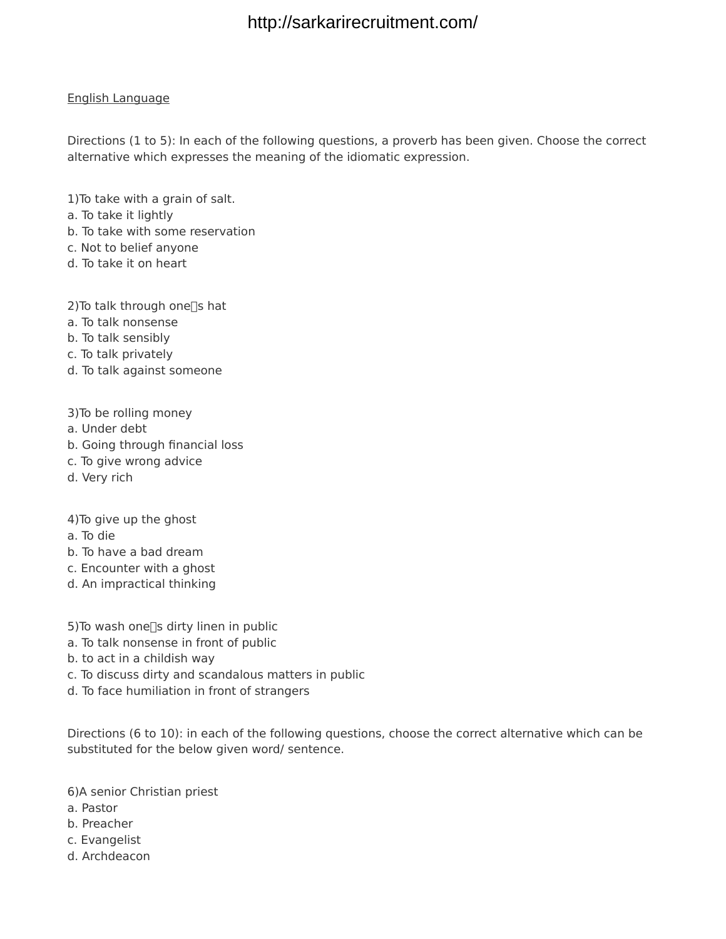#### English Language

Directions (1 to 5): In each of the following questions, a proverb has been given. Choose the correct alternative which expresses the meaning of the idiomatic expression.

1)To take with a grain of salt.

- a. To take it lightly
- b. To take with some reservation
- c. Not to belief anyone
- d. To take it on heart

2) To talk through one $\square$ s hat

- a. To talk nonsense
- b. To talk sensibly
- c. To talk privately
- d. To talk against someone
- 3)To be rolling money
- a. Under debt
- b. Going through financial loss
- c. To give wrong advice
- d. Very rich

4)To give up the ghost

- a. To die
- b. To have a bad dream
- c. Encounter with a ghost
- d. An impractical thinking
- 5) To wash one $\square$ s dirty linen in public
- a. To talk nonsense in front of public
- b. to act in a childish way
- c. To discuss dirty and scandalous matters in public
- d. To face humiliation in front of strangers

Directions (6 to 10): in each of the following questions, choose the correct alternative which can be substituted for the below given word/ sentence.

6)A senior Christian priest

- a. Pastor
- b. Preacher
- c. Evangelist
- d. Archdeacon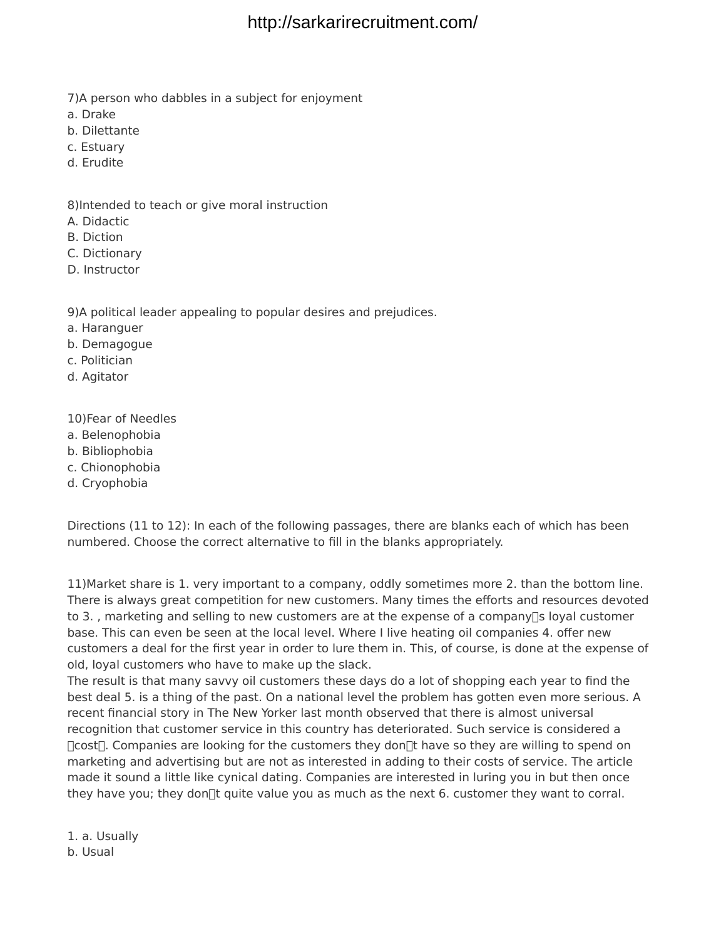- 7)A person who dabbles in a subject for enjoyment
- a. Drake
- b. Dilettante
- c. Estuary
- d. Erudite

8)Intended to teach or give moral instruction

- A. Didactic
- B. Diction
- C. Dictionary
- D. Instructor

9)A political leader appealing to popular desires and prejudices.

- a. Haranguer
- b. Demagogue
- c. Politician
- d. Agitator

10)Fear of Needles

- a. Belenophobia
- b. Bibliophobia
- c. Chionophobia
- d. Cryophobia

Directions (11 to 12): In each of the following passages, there are blanks each of which has been numbered. Choose the correct alternative to fill in the blanks appropriately.

11)Market share is 1. very important to a company, oddly sometimes more 2. than the bottom line. There is always great competition for new customers. Many times the efforts and resources devoted to 3., marketing and selling to new customers are at the expense of a company  $\eta$ s loyal customer base. This can even be seen at the local level. Where I live heating oil companies 4. offer new customers a deal for the first year in order to lure them in. This, of course, is done at the expense of old, loyal customers who have to make up the slack.

The result is that many savvy oil customers these days do a lot of shopping each year to find the best deal 5. is a thing of the past. On a national level the problem has gotten even more serious. A recent financial story in The New Yorker last month observed that there is almost universal recognition that customer service in this country has deteriorated. Such service is considered a □cost<sup>□</sup>. Companies are looking for the customers they don□t have so they are willing to spend on marketing and advertising but are not as interested in adding to their costs of service. The article made it sound a little like cynical dating. Companies are interested in luring you in but then once they have you; they don $\mathbb{R}$  quite value you as much as the next 6. customer they want to corral.

1. a. Usually b. Usual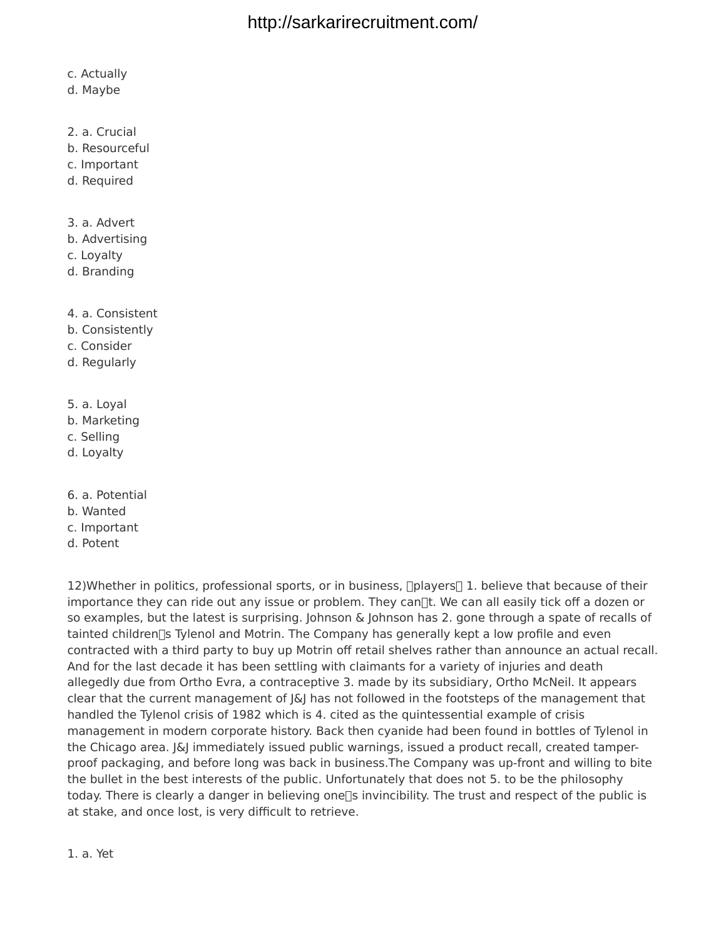c. Actually

- d. Maybe
- 2. a. Crucial
- b. Resourceful
- c. Important
- d. Required
- 3. a. Advert
- b. Advertising
- c. Loyalty
- d. Branding
- 4. a. Consistent
- b. Consistently
- c. Consider
- d. Regularly
- 5. a. Loyal
- b. Marketing
- c. Selling
- d. Loyalty
- 6. a. Potential
- b. Wanted
- c. Important
- d. Potent

12)Whether in politics, professional sports, or in business, []players<sup>[]</sup> 1. believe that because of their importance they can ride out any issue or problem. They can $\mathbb{R}$ t. We can all easily tick off a dozen or so examples, but the latest is surprising. Johnson & Johnson has 2. gone through a spate of recalls of tainted children [5] Tylenol and Motrin. The Company has generally kept a low profile and even contracted with a third party to buy up Motrin off retail shelves rather than announce an actual recall. And for the last decade it has been settling with claimants for a variety of injuries and death allegedly due from Ortho Evra, a contraceptive 3. made by its subsidiary, Ortho McNeil. It appears clear that the current management of J&J has not followed in the footsteps of the management that handled the Tylenol crisis of 1982 which is 4. cited as the quintessential example of crisis management in modern corporate history. Back then cyanide had been found in bottles of Tylenol in the Chicago area.  $|\&$  immediately issued public warnings, issued a product recall, created tamperproof packaging, and before long was back in business.The Company was up-front and willing to bite the bullet in the best interests of the public. Unfortunately that does not 5. to be the philosophy today. There is clearly a danger in believing one<sup>[]</sup> invincibility. The trust and respect of the public is at stake, and once lost, is very difficult to retrieve.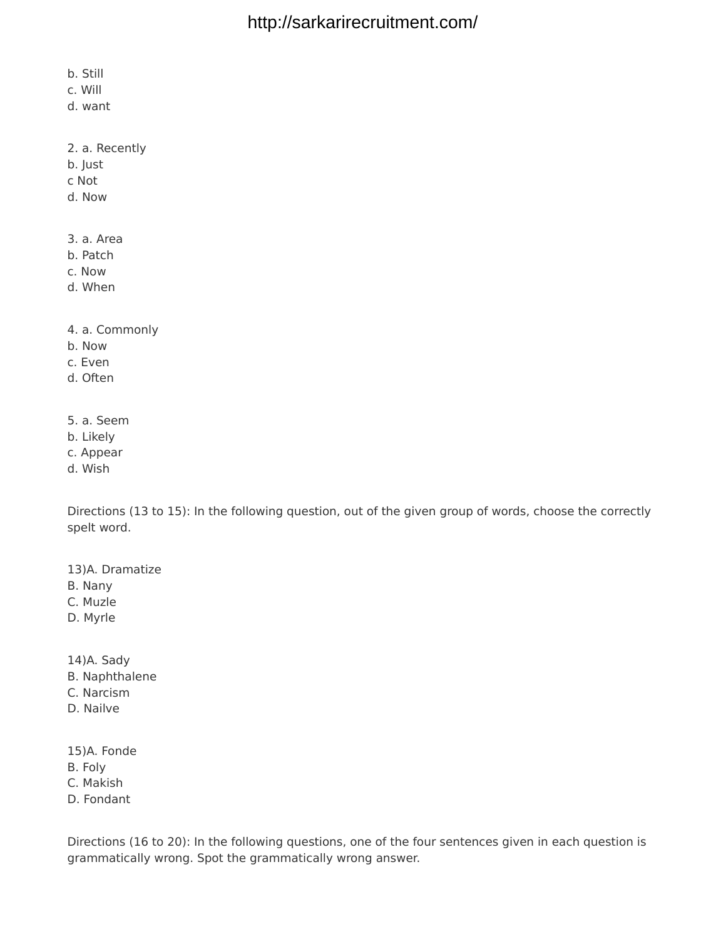b. Still

c. Will

d. want

2. a. Recently

b. Just

c Not

d. Now

3. a. Area

b. Patch

c. Now

d. When

4. a. Commonly

b. Now

c. Even

d. Often

5. a. Seem

b. Likely

c. Appear

d. Wish

Directions (13 to 15): In the following question, out of the given group of words, choose the correctly spelt word.

13)A. Dramatize

B. Nany

C. Muzle

D. Myrle

14)A. Sady

B. Naphthalene

C. Narcism

D. Nailve

15)A. Fonde

B. Foly

C. Makish

D. Fondant

Directions (16 to 20): In the following questions, one of the four sentences given in each question is grammatically wrong. Spot the grammatically wrong answer.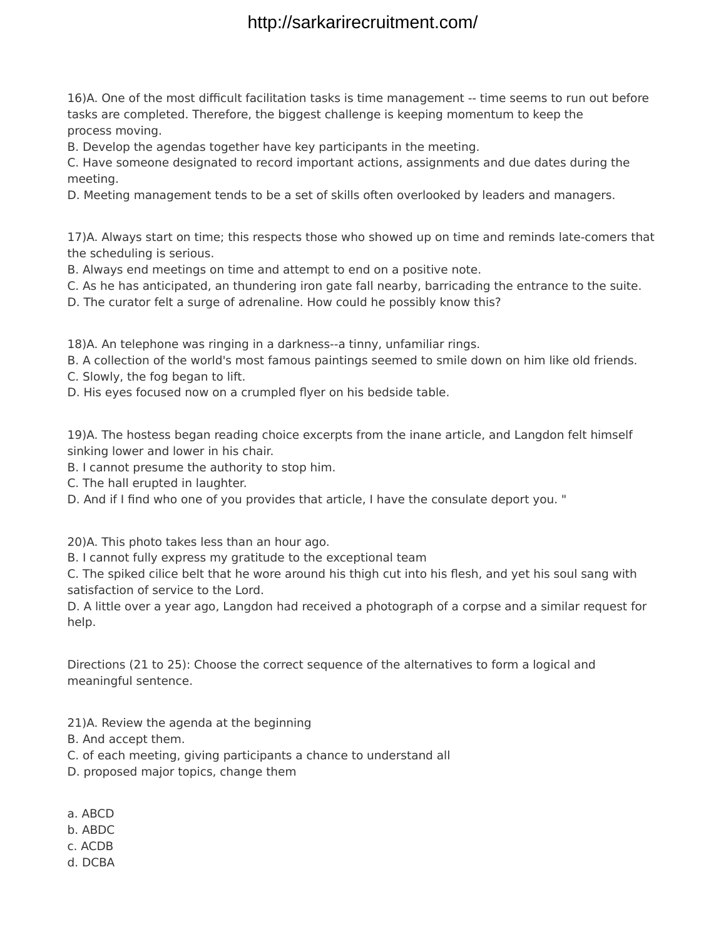16)A. One of the most difficult facilitation tasks is time management -- time seems to run out before tasks are completed. Therefore, the biggest challenge is keeping momentum to keep the process moving.

B. Develop the agendas together have key participants in the meeting.

C. Have someone designated to record important actions, assignments and due dates during the meeting.

D. Meeting management tends to be a set of skills often overlooked by leaders and managers.

17)A. Always start on time; this respects those who showed up on time and reminds late-comers that the scheduling is serious.

B. Always end meetings on time and attempt to end on a positive note.

C. As he has anticipated, an thundering iron gate fall nearby, barricading the entrance to the suite.

D. The curator felt a surge of adrenaline. How could he possibly know this?

18)A. An telephone was ringing in a darkness--a tinny, unfamiliar rings.

B. A collection of the world's most famous paintings seemed to smile down on him like old friends.

- C. Slowly, the fog began to lift.
- D. His eyes focused now on a crumpled flyer on his bedside table.

19)A. The hostess began reading choice excerpts from the inane article, and Langdon felt himself sinking lower and lower in his chair.

B. I cannot presume the authority to stop him.

C. The hall erupted in laughter.

D. And if I find who one of you provides that article, I have the consulate deport you. "

20)A. This photo takes less than an hour ago.

B. I cannot fully express my gratitude to the exceptional team

C. The spiked cilice belt that he wore around his thigh cut into his flesh, and yet his soul sang with satisfaction of service to the Lord.

D. A little over a year ago, Langdon had received a photograph of a corpse and a similar request for help.

Directions (21 to 25): Choose the correct sequence of the alternatives to form a logical and meaningful sentence.

21)A. Review the agenda at the beginning

B. And accept them.

- C. of each meeting, giving participants a chance to understand all
- D. proposed major topics, change them
- a. ABCD
- b. ABDC
- c. ACDB
- d. DCBA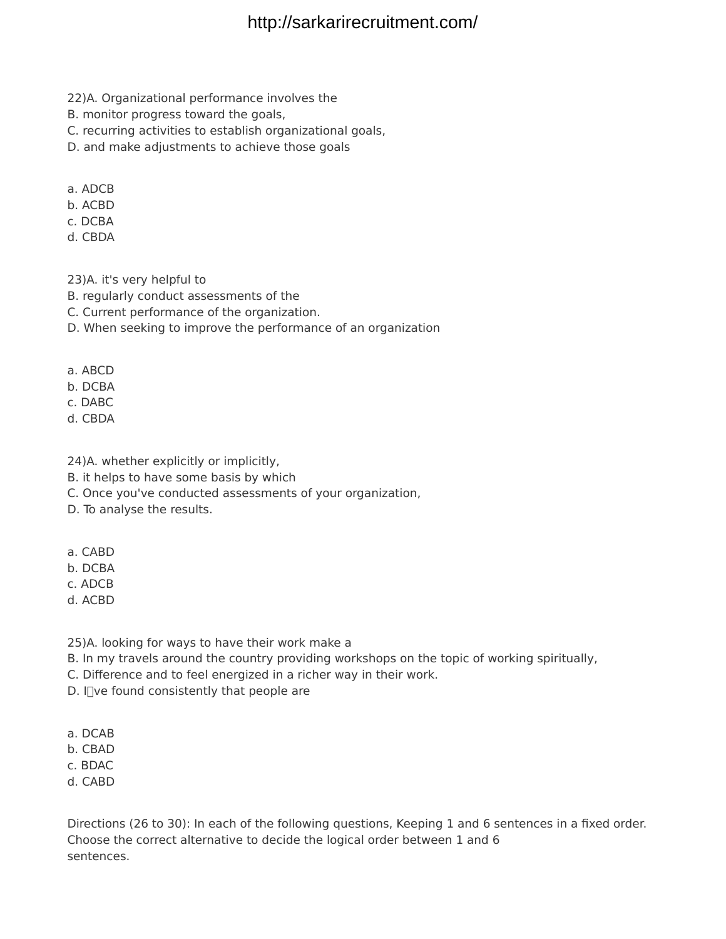- 22)A. Organizational performance involves the
- B. monitor progress toward the goals,
- C. recurring activities to establish organizational goals,
- D. and make adjustments to achieve those goals
- a. ADCB
- b. ACBD
- c. DCBA
- d. CBDA

23)A. it's very helpful to

- B. regularly conduct assessments of the
- C. Current performance of the organization.
- D. When seeking to improve the performance of an organization
- a. ABCD
- b. DCBA
- c. DABC
- d. CBDA
- 24)A. whether explicitly or implicitly,
- B. it helps to have some basis by which
- C. Once you've conducted assessments of your organization,
- D. To analyse the results.
- a. CABD
- b. DCBA
- c. ADCB
- d. ACBD
- 25)A. looking for ways to have their work make a
- B. In my travels around the country providing workshops on the topic of working spiritually,
- C. Difference and to feel energized in a richer way in their work.
- D. I $\Box$ ve found consistently that people are
- a. DCAB
- b. CBAD
- c. BDAC
- d. CABD

Directions (26 to 30): In each of the following questions, Keeping 1 and 6 sentences in a fixed order. Choose the correct alternative to decide the logical order between 1 and 6 sentences.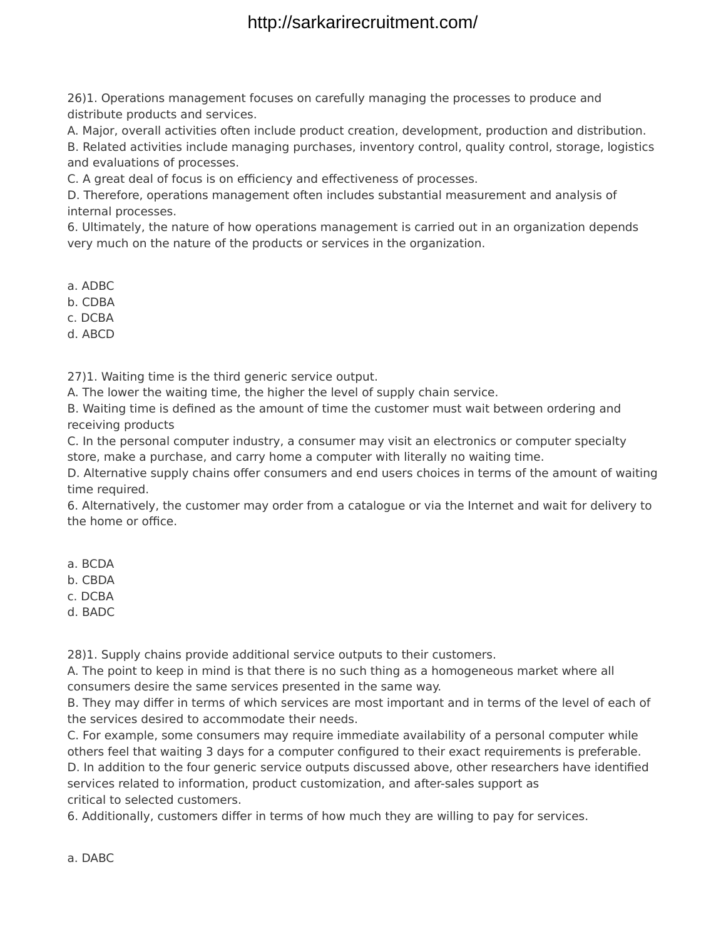26)1. Operations management focuses on carefully managing the processes to produce and distribute products and services.

A. Major, overall activities often include product creation, development, production and distribution.

B. Related activities include managing purchases, inventory control, quality control, storage, logistics and evaluations of processes.

C. A great deal of focus is on efficiency and effectiveness of processes.

D. Therefore, operations management often includes substantial measurement and analysis of internal processes.

6. Ultimately, the nature of how operations management is carried out in an organization depends very much on the nature of the products or services in the organization.

a. ADBC

b. CDBA

c. DCBA

d. ABCD

27)1. Waiting time is the third generic service output.

A. The lower the waiting time, the higher the level of supply chain service.

B. Waiting time is defined as the amount of time the customer must wait between ordering and receiving products

C. In the personal computer industry, a consumer may visit an electronics or computer specialty store, make a purchase, and carry home a computer with literally no waiting time.

D. Alternative supply chains offer consumers and end users choices in terms of the amount of waiting time required.

6. Alternatively, the customer may order from a catalogue or via the Internet and wait for delivery to the home or office.

a. BCDA

b. CBDA

c. DCBA

d. BADC

28)1. Supply chains provide additional service outputs to their customers.

A. The point to keep in mind is that there is no such thing as a homogeneous market where all consumers desire the same services presented in the same way.

B. They may differ in terms of which services are most important and in terms of the level of each of the services desired to accommodate their needs.

C. For example, some consumers may require immediate availability of a personal computer while others feel that waiting 3 days for a computer configured to their exact requirements is preferable.

D. In addition to the four generic service outputs discussed above, other researchers have identified services related to information, product customization, and after-sales support as critical to selected customers.

6. Additionally, customers differ in terms of how much they are willing to pay for services.